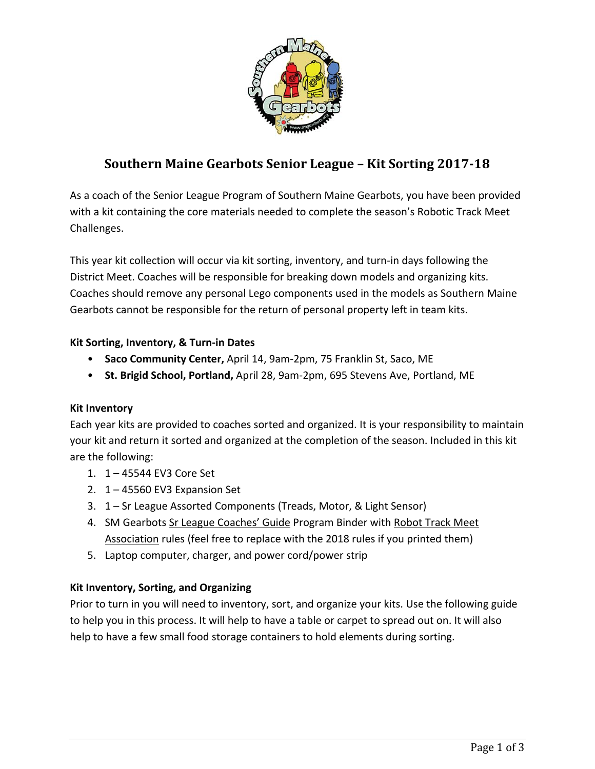

# **Southern Maine Gearbots Senior League – Kit Sorting 2017‐18**

As a coach of the Senior League Program of Southern Maine Gearbots, you have been provided with a kit containing the core materials needed to complete the season's Robotic Track Meet Challenges.

This year kit collection will occur via kit sorting, inventory, and turn‐in days following the District Meet. Coaches will be responsible for breaking down models and organizing kits. Coaches should remove any personal Lego components used in the models as Southern Maine Gearbots cannot be responsible for the return of personal property left in team kits.

# **Kit Sorting, Inventory, & Turn‐in Dates**

- **Saco Community Center,** April 14, 9am‐2pm, 75 Franklin St, Saco, ME
- **St. Brigid School, Portland,** April 28, 9am‐2pm, 695 Stevens Ave, Portland, ME

# **Kit Inventory**

Each year kits are provided to coaches sorted and organized. It is your responsibility to maintain your kit and return it sorted and organized at the completion of the season. Included in this kit are the following:

- 1. 1 45544 EV3 Core Set
- 2. 1 45560 EV3 Expansion Set
- 3. 1 Sr League Assorted Components (Treads, Motor, & Light Sensor)
- 4. SM Gearbots Sr League Coaches' Guide Program Binder with Robot Track Meet Association rules (feel free to replace with the 2018 rules if you printed them)
- 5. Laptop computer, charger, and power cord/power strip

# **Kit Inventory, Sorting, and Organizing**

Prior to turn in you will need to inventory, sort, and organize your kits. Use the following guide to help you in this process. It will help to have a table or carpet to spread out on. It will also help to have a few small food storage containers to hold elements during sorting.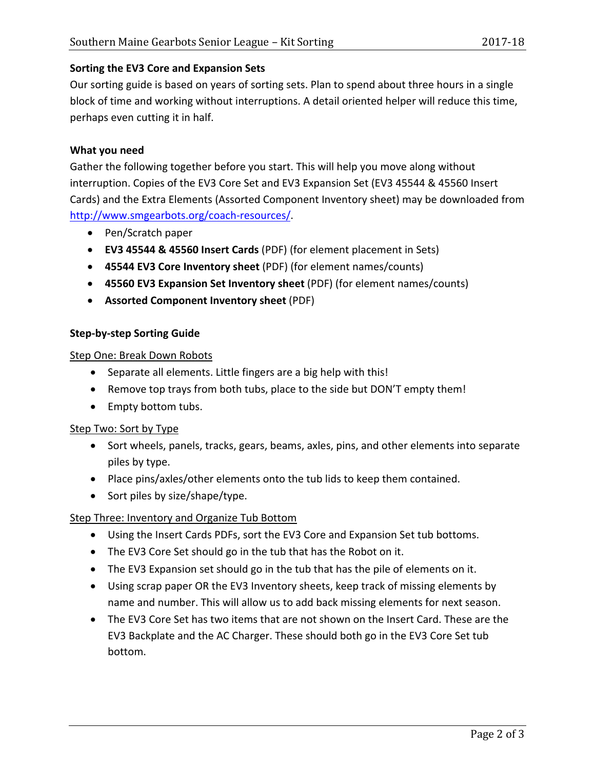## **Sorting the EV3 Core and Expansion Sets**

Our sorting guide is based on years of sorting sets. Plan to spend about three hours in a single block of time and working without interruptions. A detail oriented helper will reduce this time, perhaps even cutting it in half.

#### **What you need**

Gather the following together before you start. This will help you move along without interruption. Copies of the EV3 Core Set and EV3 Expansion Set (EV3 45544 & 45560 Insert Cards) and the Extra Elements (Assorted Component Inventory sheet) may be downloaded from http://www.smgearbots.org/coach‐resources/.

- Pen/Scratch paper
- **EV3 45544 & 45560 Insert Cards** (PDF) (for element placement in Sets)
- **45544 EV3 Core Inventory sheet** (PDF) (for element names/counts)
- **45560 EV3 Expansion Set Inventory sheet** (PDF) (for element names/counts)
- **Assorted Component Inventory sheet** (PDF)

### **Step‐by‐step Sorting Guide**

#### Step One: Break Down Robots

- Separate all elements. Little fingers are a big help with this!
- Remove top trays from both tubs, place to the side but DON'T empty them!
- Empty bottom tubs.

#### Step Two: Sort by Type

- Sort wheels, panels, tracks, gears, beams, axles, pins, and other elements into separate piles by type.
- Place pins/axles/other elements onto the tub lids to keep them contained.
- Sort piles by size/shape/type.

# Step Three: Inventory and Organize Tub Bottom

- Using the Insert Cards PDFs, sort the EV3 Core and Expansion Set tub bottoms.
- The EV3 Core Set should go in the tub that has the Robot on it.
- The EV3 Expansion set should go in the tub that has the pile of elements on it.
- Using scrap paper OR the EV3 Inventory sheets, keep track of missing elements by name and number. This will allow us to add back missing elements for next season.
- The EV3 Core Set has two items that are not shown on the Insert Card. These are the EV3 Backplate and the AC Charger. These should both go in the EV3 Core Set tub bottom.